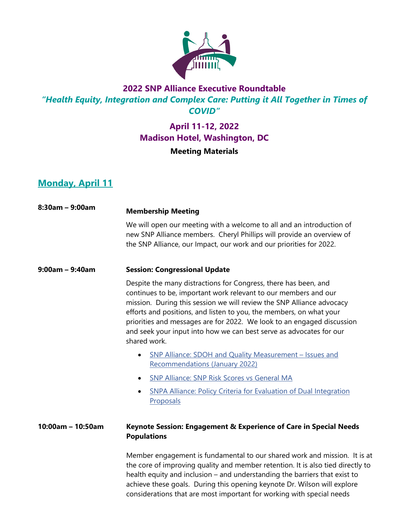

# **2022 SNP Alliance Executive Roundtable** *"Health Equity, Integration and Complex Care: Putting it All Together in Times of COVID"*

# **April 11-12, 2022 Madison Hotel, Washington, DC Meeting Materials**

# **Monday, April 11**

| $8:30$ am - 9:00am | <b>Membership Meeting</b>                                                                                                                                                                                                                                                                                                                                                                                                                           |
|--------------------|-----------------------------------------------------------------------------------------------------------------------------------------------------------------------------------------------------------------------------------------------------------------------------------------------------------------------------------------------------------------------------------------------------------------------------------------------------|
|                    | We will open our meeting with a welcome to all and an introduction of<br>new SNP Alliance members. Cheryl Phillips will provide an overview of<br>the SNP Alliance, our Impact, our work and our priorities for 2022.                                                                                                                                                                                                                               |
| $9:00am - 9:40am$  | <b>Session: Congressional Update</b>                                                                                                                                                                                                                                                                                                                                                                                                                |
|                    | Despite the many distractions for Congress, there has been, and<br>continues to be, important work relevant to our members and our<br>mission. During this session we will review the SNP Alliance advocacy<br>efforts and positions, and listen to you, the members, on what your<br>priorities and messages are for 2022. We look to an engaged discussion<br>and seek your input into how we can best serve as advocates for our<br>shared work. |
|                    | SNP Alliance: SDOH and Quality Measurement - Issues and<br><b>Recommendations (January 2022)</b>                                                                                                                                                                                                                                                                                                                                                    |
|                    | SNP Alliance: SNP Risk Scores vs General MA                                                                                                                                                                                                                                                                                                                                                                                                         |
|                    | <b>SNPA Alliance: Policy Criteria for Evaluation of Dual Integration</b><br>Proposals                                                                                                                                                                                                                                                                                                                                                               |
| 10:00am - 10:50am  | Keynote Session: Engagement & Experience of Care in Special Needs<br><b>Populations</b>                                                                                                                                                                                                                                                                                                                                                             |
|                    | Member engagement is fundamental to our shared work and mission. It is at<br>the core of improving quality and member retention. It is also tied directly to<br>health equity and inclusion - and understanding the barriers that exist to<br>achieve these goals. During this opening keynote Dr. Wilson will explore<br>considerations that are most important for working with special needs                                                     |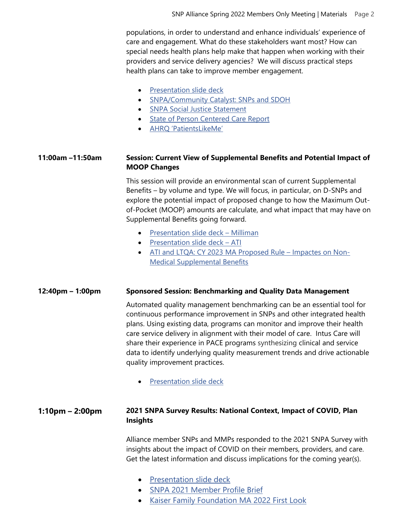populations, in order to understand and enhance individuals' experience of care and engagement. What do these stakeholders want most? How can special needs health plans help make that happen when working with their providers and service delivery agencies? We will discuss practical steps health plans can take to improve member engagement.

- [Presentation slide deck](https://snpalliance.org/wp-content/uploads/2022/04/01.-SNP-Alliance-Keynote-bgw-04.04.22-002.pdf)
- [SNPA/Community Catalyst: SNPs and SDOH](https://www.snpalliance.org/wp-content/uploads/2020/04/snp-alliancepluscommunity-catalyst-report-on-snps-duals-sdoh-may2017.pdf)
- [SNPA Social Justice Statement](https://www.snpalliance.org/wp-content/uploads/2020/06/Statement-on-social-justice.pdf)
- [State of Person Centered Care Report](https://www.healthinnovation.org/resources/publications/tracking-progress-on-person-centered-care-for-older-adults-how-are-we-doing)
- [AHRQ 'PatientsLikeMe'](https://www.ahrq.gov/workingforquality/priorities-in-action/patientslikeme.html)

# **11:00am –11:50am Session: Current View of Supplemental Benefits and Potential Impact of MOOP Changes**

This session will provide an environmental scan of current Supplemental Benefits – by volume and type. We will focus, in particular, on D-SNPs and explore the potential impact of proposed change to how the Maximum Outof-Pocket (MOOP) amounts are calculate, and what impact that may have on Supplemental Benefits going forward.

- [Presentation slide deck –](https://snpalliance.org/wp-content/uploads/2022/04/SNP-Alliance-Spring-Roundtable-DE-MOOP-4.11.2022.pdf) Milliman
- [Presentation slide deck –](https://snpalliance.org/wp-content/uploads/2022/04/20220411_SNP-Alliance_ATI-Advisory.pdf) ATI
- [ATI and LTQA: CY 2023 MA Proposed Rule –](https://snpalliance.org/wp-content/uploads/2022/04/CY-2023-Medicare-Advantage-Proposed-Rule-Impacts-on-Non-Medical-Supplemental-Benefits.pdf) Impactes on Non-[Medical Supplemental Benefits](https://snpalliance.org/wp-content/uploads/2022/04/CY-2023-Medicare-Advantage-Proposed-Rule-Impacts-on-Non-Medical-Supplemental-Benefits.pdf)

### **12:40pm – 1:00pm Sponsored Session: Benchmarking and Quality Data Management**

Automated quality management benchmarking can be an essential tool for continuous performance improvement in SNPs and other integrated health plans. Using existing data, programs can monitor and improve their health care service delivery in alignment with their model of care. Intus Care will share their experience in PACE programs synthesizing clinical and service data to identify underlying quality measurement trends and drive actionable quality improvement practices.

• [Presentation slide deck](https://snpalliance.org/wp-content/uploads/2022/04/Intus-Care-SNP-Alliance-Spring.pdf)

## **1:10pm – 2:00pm 2021 SNPA Survey Results: National Context, Impact of COVID, Plan Insights**

Alliance member SNPs and MMPs responded to the 2021 SNPA Survey with insights about the impact of COVID on their members, providers, and care. Get the latest information and discuss implications for the coming year(s).

- [Presentation slide deck](https://snpalliance.org/wp-content/uploads/2022/04/SNPA-Annual-Survey-Presentation-Paone-4.2.22-FINAL.pdf)
- [SNPA 2021 Member Profile Brief](https://www.snpalliance.org/wp-content/uploads/2021/07/SNPA-Member-Profile-Brief-FINAL-June-30-2021.pdf)
- [Kaiser Family Foundation MA 2022 First Look](https://www.kff.org/medicare/issue-brief/medicare-advantage-2022-spotlight-first-look/)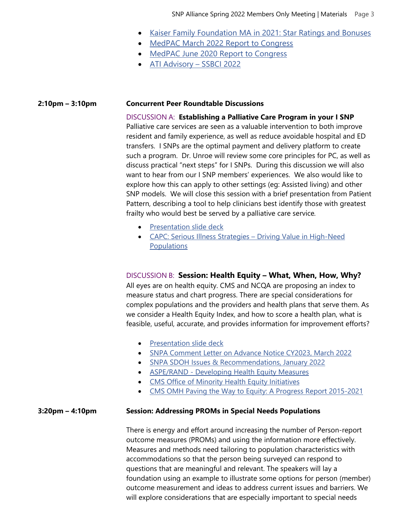- [Kaiser Family Foundation MA in 2021: Star Ratings and Bonuses](https://www.kff.org/medicare/issue-brief/medicare-advantage-in-2021-star-ratings-and-bonuses/)
- [MedPAC March 2022 Report to Congress](https://www.medpac.gov/document/march-2022-report-to-the-congress-medicare-payment-policy/)
- [MedPAC June 2020 Report to Congress](https://www.medpac.gov/document/http-www-medpac-gov-docs-default-source-press-releases-june2020_medpac_report_press_release_sec-pdf/)
- [ATI Advisory –](https://atiadvisory.com/wp-content/uploads/2022/01/Plan-Year-2022-Medicare-Advantage-New-Non-Medical-Supplemental-Benefits.pdf) SSBCI 2022

#### **2:10pm – 3:10pm Concurrent Peer Roundtable Discussions**

DISCUSSION A: **Establishing a Palliative Care Program in your I SNP** Palliative care services are seen as a valuable intervention to both improve resident and family experience, as well as reduce avoidable hospital and ED transfers. I SNPs are the optimal payment and delivery platform to create such a program. Dr. Unroe will review some core principles for PC, as well as discuss practical "next steps" for I SNPs. During this discussion we will also want to hear from our I SNP members' experiences. We also would like to explore how this can apply to other settings (eg: Assisted living) and other SNP models. We will close this session with a brief presentation from Patient Pattern, describing a tool to help clinicians best identify those with greatest frailty who would best be served by a palliative care service*.*

- [Presentation](https://snpalliance.org/wp-content/uploads/2022/04/SNP-Alliance-_-Patient-Pattern-Solutions-for-Palliative-Care.pdf) slide deck
- CAPC: Serious Illness Strategies Driving Value in [High-Need](https://snpalliance.org/wp-content/uploads/2022/04/serious-illness-strategies-driving-value-in-high-need-populations.pdf) [Populations](https://snpalliance.org/wp-content/uploads/2022/04/serious-illness-strategies-driving-value-in-high-need-populations.pdf)

## DISCUSSION B: **Session: Health Equity – What, When, How, Why?**

All eyes are on health equity. CMS and NCQA are proposing an index to measure status and chart progress. There are special considerations for complex populations and the providers and health plans that serve them. As we consider a Health Equity Index, and how to score a health plan, what is feasible, useful, accurate, and provides information for improvement efforts?

- [Presentation](https://snpalliance.org/wp-content/uploads/2022/04/Health-Equity-SNPA-Paone-Sorbero-Gelb-April-2022.pdf) slide deck
- SNPA [Comment](https://www.snpalliance.org/wp-content/uploads/2022/03/SNP-Alliance-Comments-to-Advance-Notice-3.4.22-FINAL.pdf) Letter on Advance Notice CY2023, March 2022
- SNPA SDOH Issues & [Recommendations,](https://www.snpalliance.org/wp-content/uploads/2022/01/SDOH-and-Quality-SNP-Alliance-January-2022.pdf) January 2022
- [ASPE/RAND](https://aspe.hhs.gov/sites/default/files/private/pdf/265566/developing-health-equity-measures.pdf) Developing Health Equity Measures
- CMS Office of Minority Health Equity [Initiatives](https://www.cms.gov/About-CMS/Agency-Information/OMH/equity-initiatives)
- CMS OMH Paving the Way to Equity: A Progress Report [2015-2021](https://www.cms.gov/files/document/paving-way-equity-cms-omh-progress-report.pdf)

### **3:20pm – 4:10pm Session: Addressing PROMs in Special Needs Populations**

There is energy and effort around increasing the number of Person-report outcome measures (PROMs) and using the information more effectively. Measures and methods need tailoring to population characteristics with accommodations so that the person being surveyed can respond to questions that are meaningful and relevant. The speakers will lay a foundation using an example to illustrate some options for person (member) outcome measurement and ideas to address current issues and barriers. We will explore considerations that are especially important to special needs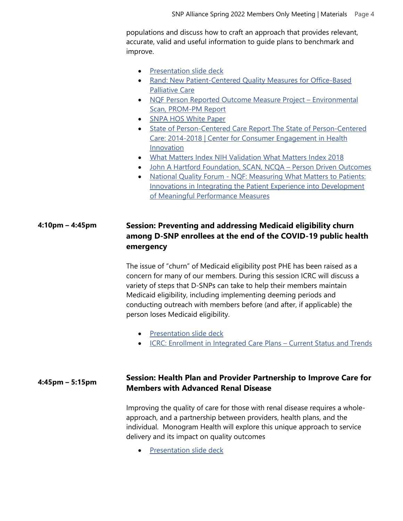populations and discuss how to craft an approach that provides relevant, accurate, valid and useful information to guide plans to benchmark and improve.

- [Presentation slide deck](https://snpalliance.org/wp-content/uploads/2022/04/PROMS-Session-SNPA-Paone-Drye-April-5.2022-1.pdf)
- [Rand: New Patient-Centered Quality Measures for Office-Based](https://www.rand.org/pubs/research_briefs/RBA400-1.html?utm_source=WhatCountsEmail&utm_medium=NPA:2893:7274:Sep%2013,%202021%205:55:00%20AM%20PDT&utm_campaign=NPA:2893:7274:Sep%2013,%202021%205:55:00%20AM%20PDT)  [Palliative Care](https://www.rand.org/pubs/research_briefs/RBA400-1.html?utm_source=WhatCountsEmail&utm_medium=NPA:2893:7274:Sep%2013,%202021%205:55:00%20AM%20PDT&utm_campaign=NPA:2893:7274:Sep%2013,%202021%205:55:00%20AM%20PDT)
- [NQF Person Reported Outcome Measure Project –](https://www.qualityforum.org/ProjectDescription.aspx?projectID=93898) Environmental [Scan, PROM-PM Report](https://www.qualityforum.org/ProjectDescription.aspx?projectID=93898)
- [SNPA HOS White Paper](https://www.snpalliance.org/wp-content/uploads/2020/04/snpa-paone-hos-white-paper-final-dec-2018-1.pdf)
- [State of Person-Centered Care Report The State of Person-Centered](https://www.healthinnovation.org/resources/publications/tracking-progress-on-person-centered-care-for-older-adults-how-are-we-doing)  [Care: 2014-2018 | Center for Consumer Engagement in Health](https://www.healthinnovation.org/resources/publications/tracking-progress-on-person-centered-care-for-older-adults-how-are-we-doing)  [Innovation](https://www.healthinnovation.org/resources/publications/tracking-progress-on-person-centered-care-for-older-adults-how-are-we-doing)
- [What Matters Index NIH Validation What Matters Index 2018](https://www.ncbi.nlm.nih.gov/pmc/articles/PMC5823367/)
- [John A Hartford Foundation, SCAN, NCQA –](https://www.ncqa.org/hedis/reports-and-research/measuring-what-matters-most-to-older-adults/) Person Driven Outcomes
- National Quality Forum [NQF: Measuring What Matters to Patients:](https://www.qualityforum.org/Publications/2017/08/Measuring_What_Matters_to_Patients__Innovations_in_Integrating_the_Patient_Experience_into_Development_of_Meaningful_Performance_Measures.aspx)  [Innovations in Integrating the Patient Experience into Development](https://www.qualityforum.org/Publications/2017/08/Measuring_What_Matters_to_Patients__Innovations_in_Integrating_the_Patient_Experience_into_Development_of_Meaningful_Performance_Measures.aspx)  [of Meaningful Performance Measures](https://www.qualityforum.org/Publications/2017/08/Measuring_What_Matters_to_Patients__Innovations_in_Integrating_the_Patient_Experience_into_Development_of_Meaningful_Performance_Measures.aspx)

# **4:10pm – 4:45pm Session: Preventing and addressing Medicaid eligibility churn among D-SNP enrollees at the end of the COVID-19 public health emergency**

The issue of "churn" of Medicaid eligibility post PHE has been raised as a concern for many of our members. During this session ICRC will discuss a variety of steps that D-SNPs can take to help their members maintain Medicaid eligibility, including implementing deeming periods and conducting outreach with members before (and after, if applicable) the person loses Medicaid eligibility.

- [Presentation slide deck](https://snpalliance.org/wp-content/uploads/2022/04/EWL-FINAL-slides-for-SNP-Alliance_Prev-Churn_4.11.22_REV-w-HA-link.pdf)
- [ICRC: Enrollment in Integrated Care Plans –](https://snpalliance.org/wp-content/uploads/2022/04/Feb-2022-ICRC_SNP-Alliance_D-SNP-Integration_Enrollment-Slides_Final-002.pdf) Current Status and Trends

## **4:45pm – 5:15pm Session: Health Plan and Provider Partnership to Improve Care for Members with Advanced Renal Disease**

Improving the quality of care for those with renal disease requires a wholeapproach, and a partnership between providers, health plans, and the individual. Monogram Health will explore this unique approach to service delivery and its impact on quality outcomes

• [Presentation slide deck](https://snpalliance.org/wp-content/uploads/2022/04/Monogram-Health-Overview_SNP_Alliance-Final.pdf)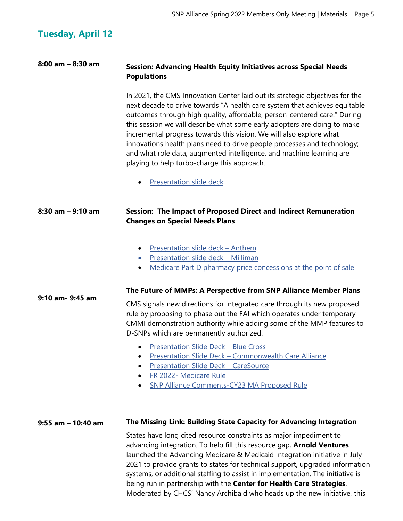# **Tuesday, April 12**

# **8:00 am – 8:30 am Session: Advancing Health Equity Initiatives across Special Needs Populations**

In 2021, the CMS Innovation Center laid out its strategic objectives for the next decade to drive towards "A health care system that achieves equitable outcomes through high quality, affordable, person-centered care." During this session we will describe what some early adopters are doing to make incremental progress towards this vision. We will also explore what innovations health plans need to drive people processes and technology; and what role data, augmented intelligence, and machine learning are playing to help turbo-charge this approach.

**[Presentation slide deck](https://snpalliance.org/wp-content/uploads/2022/04/SCAN_SNPAlliance_Presentation_Vantage.pdf)** 

#### **8:30 am – 9:10 am Session: The Impact of Proposed Direct and Indirect Remuneration Changes on Special Needs Plans**

- [Presentation slide deck –](https://snpalliance.org/wp-content/uploads/2022/04/Anthem-SNP-Alliance-DIR-Presentation-April-12-003.pdf) Anthem
- [Presentation slide deck –](https://snpalliance.org/wp-content/uploads/2022/04/Pharmacy-DIR-Slides-DMike-2022.04.11.pdf) Milliman
- [Medicare Part D pharmacy price concessions at the point of sale](https://www.milliman.com/en/insight/medicare-part-d-pharmacy-price-concessions-at-the-point-of-sale)

#### **9:10 am- 9:45 am The Future of MMPs: A Perspective from SNP Alliance Member Plans**

CMS signals new directions for integrated care through its new proposed rule by proposing to phase out the FAI which operates under temporary CMMI demonstration authority while adding some of the MMP features to D-SNPs which are permanently authorized.

- [Presentation Slide Deck –](https://snpalliance.org/wp-content/uploads/2022/04/SNPA-Spring-Roundtable_BSC-Future-of-MMPs.pdf) Blue Cross
- Presentation Slide Deck [Commonwealth Care Alliance](https://snpalliance.org/wp-content/uploads/2022/04/CCA-MMP-presentation_SNP-Alliance-April-2022-meeting_FINAL.pdf)
- [Presentation Slide Deck –](https://snpalliance.org/wp-content/uploads/2022/04/Bill-Sota-SNP-Alliance-MMP-to-DSNP-Transition.pdf) CareSource
- FR 2022- [Medicare Rule](https://snpalliance.org/wp-content/uploads/2022/04/FR-2022-00117.pdf-2023-Medicare-Rule.pdf)
- SNP Alliance [Comments-CY23 MA Proposed Rule](https://snpalliance.org/wp-content/uploads/2022/04/SNP-Alliance-Comments-CY23-MA-Proposed-Rule.pdf)

#### **9:55 am – 10:40 am The Missing Link: Building State Capacity for Advancing Integration**

States have long cited resource constraints as major impediment to advancing integration. To help fill this resource gap, **Arnold Ventures** launched the Advancing Medicare & Medicaid Integration initiative in July 2021 to provide grants to states for technical support, upgraded information systems, or additional staffing to assist in implementation. The initiative is being run in partnership with the **Center for Health Care Strategies**. Moderated by CHCS' Nancy Archibald who heads up the new initiative, this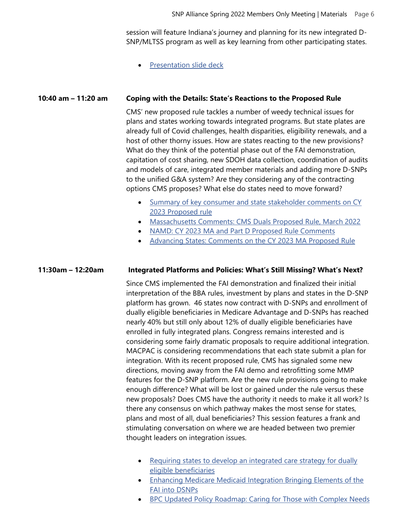session will feature Indiana's journey and planning for its new integrated D-SNP/MLTSS program as well as key learning from other participating states.

• [Presentation slide deck](https://snpalliance.org/wp-content/uploads/2022/04/AMMI-SNP-Alliance-Spring-2022-Meeting-Slides_FINAL.pdf)

#### **10:40 am – 11:20 am Coping with the Details: State's Reactions to the Proposed Rule**

CMS' new proposed rule tackles a number of weedy technical issues for plans and states working towards integrated programs. But state plates are already full of Covid challenges, health disparities, eligibility renewals, and a host of other thorny issues. How are states reacting to the new provisions? What do they think of the potential phase out of the FAI demonstration, capitation of cost sharing, new SDOH data collection, coordination of audits and models of care, integrated member materials and adding more D-SNPs to the unified G&A system? Are they considering any of the contracting options CMS proposes? What else do states need to move forward?

- Summary of key consumer and state stakeholder comments on CY [2023 Proposed rule](https://snpalliance.org/wp-content/uploads/2022/04/Summary-of-Key-Consumer-and-State-Stakeholder-Comments-on-CY23-MA-Proposed-Rule.pdf)
- [Massachusetts Comments: CMS Duals Proposed Rule, March 2022](https://snpalliance.org/wp-content/uploads/2022/04/Massachusetts-Coments-CMS-Duals-Proposed-Rule-3.7.22-Final-2.pdf)
- [NAMD: CY 2023 MA and Part D Proposed Rule Comments](https://snpalliance.org/wp-content/uploads/2022/04/NAMD-CY-2023-Medicare-Advantage-and-Part-D-Proposed-Rule-CMS-4192-P-Comments.pdf)
- [Advancing States: Comments on the CY 2023 MA Proposed Rule](https://snpalliance.org/wp-content/uploads/2022/04/030722_ADvancing-States-Comments-on-MA-rule.pdf)

#### **11:30am – 12:20am Integrated Platforms and Policies: What's Still Missing? What's Next?**

Since CMS implemented the FAI demonstration and finalized their initial interpretation of the BBA rules, investment by plans and states in the D-SNP platform has grown. 46 states now contract with D-SNPs and enrollment of dually eligible beneficiaries in Medicare Advantage and D-SNPs has reached nearly 40% but still only about 12% of dually eligible beneficiaries have enrolled in fully integrated plans. Congress remains interested and is considering some fairly dramatic proposals to require additional integration. MACPAC is considering recommendations that each state submit a plan for integration. With its recent proposed rule, CMS has signaled some new directions, moving away from the FAI demo and retrofitting some MMP features for the D-SNP platform. Are the new rule provisions going to make enough difference? What will be lost or gained under the rule versus these new proposals? Does CMS have the authority it needs to make it all work? Is there any consensus on which pathway makes the most sense for states, plans and most of all, dual beneficiaries? This session features a frank and stimulating conversation on where we are headed between two premier thought leaders on integration issues.

- Requiring states to develop an integrated care strategy for dually [eligible beneficiaries](https://snpalliance.org/wp-content/uploads/2022/04/Requiring-states-to-develop-an-integrated-care-strategy-for-dually-eligible-beneficiaries-1.pdf)
- [Enhancing Medicare Medicaid Integration Bringing Elements of the](https://snpalliance.org/wp-content/uploads/2022/04/Enhancing-Medicare-Medicaid-Integration-Bringing-Elements-of-the-FAI-into-D-SNPs-1.pdf)  [FAI into DSNPs](https://snpalliance.org/wp-content/uploads/2022/04/Enhancing-Medicare-Medicaid-Integration-Bringing-Elements-of-the-FAI-into-D-SNPs-1.pdf)
- [BPC Updated Policy Roadmap: Caring for Those with Complex Needs](https://snpalliance.org/wp-content/uploads/2022/04/BPC-Updated-Policy-Roadmap-Caring-for-Those-With-Complex-Needs-March-2022.pdf)